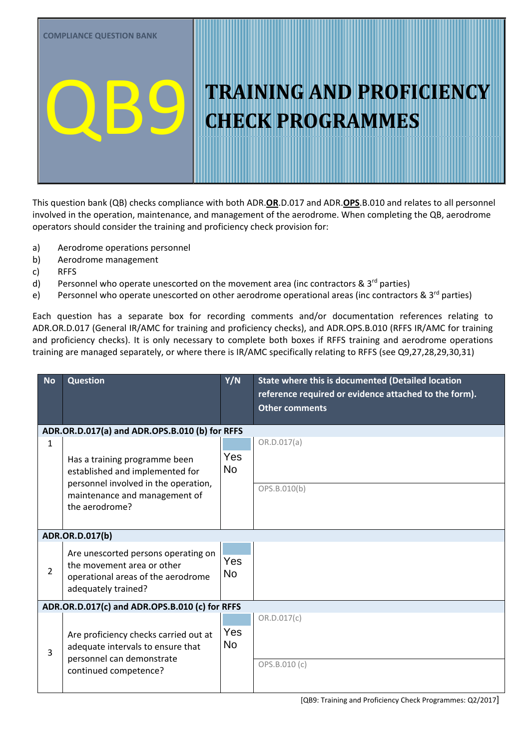This question bank (QB) checks compliance with both ADR.**OR**.D.017 and ADR.**OPS**.B.010 and relates to all personnel involved in the operation, maintenance, and management of the aerodrome. When completing the QB, aerodrome operators should consider the training and proficiency check provision for:

- a) Aerodrome operations personnel
- b) Aerodrome management
- c) RFFS
- d) Personnel who operate unescorted on the movement area (inc contractors  $\& 3^{rd}$  parties)
- e) Personnel who operate unescorted on other aerodrome operational areas (inc contractors & 3<sup>rd</sup> parties)

Each question has a separate box for recording comments and/or documentation references relating to ADR.OR.D.017 (General IR/AMC for training and proficiency checks), and ADR.OPS.B.010 (RFFS IR/AMC for training and proficiency checks). It is only necessary to complete both boxes if RFFS training and aerodrome operations training are managed separately, or where there is IR/AMC specifically relating to RFFS (see Q9,27,28,29,30,31)

| <b>No</b>                                                                               | <b>Question</b>                                                                                                                  | Y/N                     | State where this is documented (Detailed location<br>reference required or evidence attached to the form).<br><b>Other comments</b> |  |  |
|-----------------------------------------------------------------------------------------|----------------------------------------------------------------------------------------------------------------------------------|-------------------------|-------------------------------------------------------------------------------------------------------------------------------------|--|--|
|                                                                                         | ADR.OR.D.017(a) and ADR.OPS.B.010 (b) for RFFS                                                                                   |                         |                                                                                                                                     |  |  |
| $\mathbf{1}$                                                                            |                                                                                                                                  |                         | OR.D.017(a)                                                                                                                         |  |  |
|                                                                                         | Has a training programme been<br>established and implemented for                                                                 | Yes<br><b>No</b>        |                                                                                                                                     |  |  |
| personnel involved in the operation,<br>maintenance and management of<br>the aerodrome? |                                                                                                                                  | OPS.B.010(b)            |                                                                                                                                     |  |  |
|                                                                                         | ADR.OR.D.017(b)                                                                                                                  |                         |                                                                                                                                     |  |  |
| $\mathcal{P}$                                                                           | Are unescorted persons operating on<br>the movement area or other<br>operational areas of the aerodrome<br>adequately trained?   | Yes<br><b>No</b>        |                                                                                                                                     |  |  |
|                                                                                         | ADR.OR.D.017(c) and ADR.OPS.B.010 (c) for RFFS                                                                                   |                         |                                                                                                                                     |  |  |
| 3                                                                                       | Are proficiency checks carried out at<br>adequate intervals to ensure that<br>personnel can demonstrate<br>continued competence? | <b>Yes</b><br><b>No</b> | OR.D.017(c)<br>OPS.B.010 (c)                                                                                                        |  |  |
|                                                                                         |                                                                                                                                  |                         |                                                                                                                                     |  |  |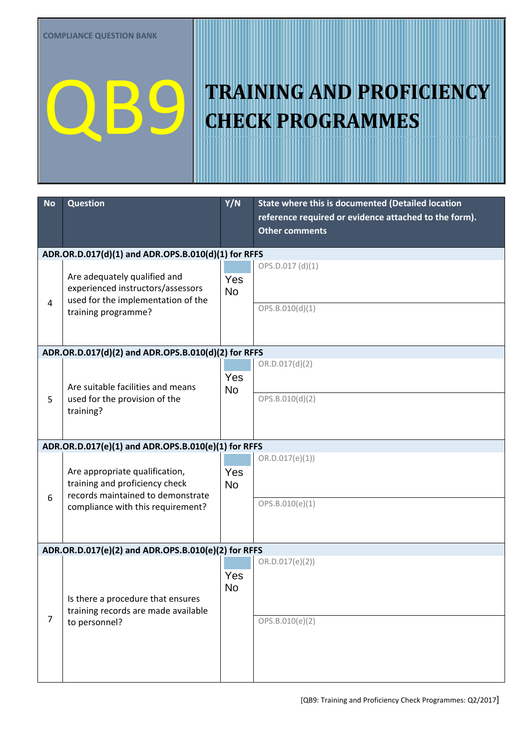| <b>No</b>      | <b>Question</b>                                                                                                                | Y/N              | State where this is documented (Detailed location<br>reference required or evidence attached to the form).<br><b>Other comments</b> |  |  |  |
|----------------|--------------------------------------------------------------------------------------------------------------------------------|------------------|-------------------------------------------------------------------------------------------------------------------------------------|--|--|--|
|                | ADR.OR.D.017(d)(1) and ADR.OPS.B.010(d)(1) for RFFS                                                                            |                  |                                                                                                                                     |  |  |  |
| 4              | Are adequately qualified and<br>experienced instructors/assessors<br>used for the implementation of the<br>training programme? | Yes<br><b>No</b> | OPS.D.017 (d)(1)<br>OPS.B.010(d)(1)                                                                                                 |  |  |  |
|                | ADR.OR.D.017(d)(2) and ADR.OPS.B.010(d)(2) for RFFS                                                                            |                  |                                                                                                                                     |  |  |  |
| 5              | Are suitable facilities and means<br>used for the provision of the<br>training?                                                | Yes<br><b>No</b> | OR.D.017(d)(2)<br>OPS.B.010(d)(2)                                                                                                   |  |  |  |
|                | ADR.OR.D.017(e)(1) and ADR.OPS.B.010(e)(1) for RFFS                                                                            |                  |                                                                                                                                     |  |  |  |
| 6              | Are appropriate qualification,<br>training and proficiency check<br>records maintained to demonstrate                          | Yes<br><b>No</b> | OR.D.017(e)(1))                                                                                                                     |  |  |  |
|                | compliance with this requirement?                                                                                              |                  | OPS.B.010(e)(1)                                                                                                                     |  |  |  |
|                | ADR.OR.D.017(e)(2) and ADR.OPS.B.010(e)(2) for RFFS                                                                            |                  |                                                                                                                                     |  |  |  |
|                | Is there a procedure that ensures<br>training records are made available                                                       | Yes<br>No        | OR.D.017(e)(2)                                                                                                                      |  |  |  |
| $\overline{7}$ | to personnel?                                                                                                                  |                  | OPS.B.010(e)(2)                                                                                                                     |  |  |  |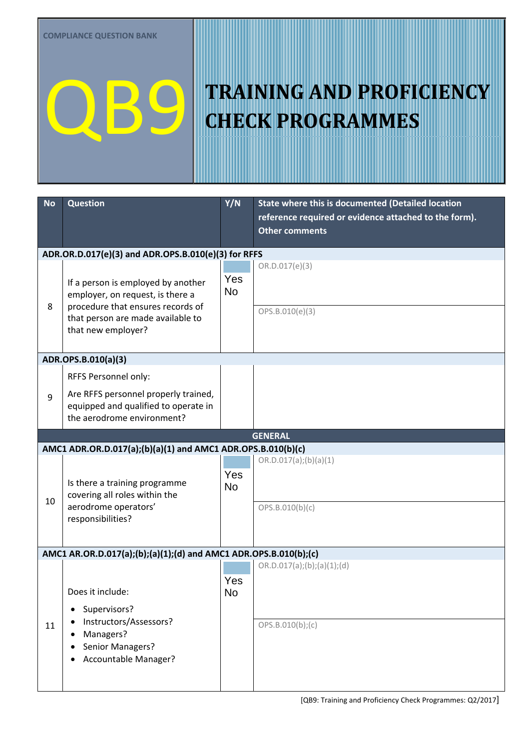| <b>No</b> | <b>Question</b>                                                                        | Y/N              | State where this is documented (Detailed location     |  |  |  |
|-----------|----------------------------------------------------------------------------------------|------------------|-------------------------------------------------------|--|--|--|
|           |                                                                                        |                  | reference required or evidence attached to the form). |  |  |  |
|           |                                                                                        |                  | <b>Other comments</b>                                 |  |  |  |
|           | ADR.OR.D.017(e)(3) and ADR.OPS.B.010(e)(3) for RFFS                                    |                  |                                                       |  |  |  |
|           |                                                                                        |                  | OR.D.017(e)(3)                                        |  |  |  |
| 8         | If a person is employed by another                                                     | Yes<br><b>No</b> |                                                       |  |  |  |
|           | employer, on request, is there a<br>procedure that ensures records of                  |                  |                                                       |  |  |  |
|           | that person are made available to                                                      |                  | OPS.B.010(e)(3)                                       |  |  |  |
|           | that new employer?                                                                     |                  |                                                       |  |  |  |
|           |                                                                                        |                  |                                                       |  |  |  |
|           | ADR.OPS.B.010(a)(3)                                                                    |                  |                                                       |  |  |  |
|           | RFFS Personnel only:                                                                   | Yes              |                                                       |  |  |  |
| 9         | Are RFFS personnel properly trained,                                                   | <b>No</b>        |                                                       |  |  |  |
|           | equipped and qualified to operate in<br>the aerodrome environment?                     |                  |                                                       |  |  |  |
|           |                                                                                        |                  |                                                       |  |  |  |
|           | <b>GENERAL</b><br>AMC1 ADR.OR.D.017(a);(b)(a)(1) and AMC1 ADR.OPS.B.010(b)(c)          |                  |                                                       |  |  |  |
|           |                                                                                        |                  | OR.D.017(a); (b)(a)(1)                                |  |  |  |
|           |                                                                                        | Yes              |                                                       |  |  |  |
|           | Is there a training programme<br>covering all roles within the<br>aerodrome operators' | <b>No</b>        |                                                       |  |  |  |
| 10        |                                                                                        |                  | OPS.B.010(b)(c)                                       |  |  |  |
|           | responsibilities?                                                                      |                  |                                                       |  |  |  |
|           |                                                                                        |                  |                                                       |  |  |  |
|           | AMC1 AR.OR.D.017(a);(b);(a)(1);(d) and AMC1 ADR.OPS.B.010(b);(c)                       |                  |                                                       |  |  |  |
|           |                                                                                        |                  | OR.D.017(a);(b);(a)(1);(d)                            |  |  |  |
|           |                                                                                        | Yes              |                                                       |  |  |  |
|           | Does it include:                                                                       | No               |                                                       |  |  |  |
|           | Supervisors?<br>$\bullet$                                                              |                  |                                                       |  |  |  |
| 11        | Instructors/Assessors?                                                                 |                  | OPS.B.010(b);(c)                                      |  |  |  |
|           | Managers?<br>$\bullet$<br>Senior Managers?                                             |                  |                                                       |  |  |  |
|           | Accountable Manager?                                                                   |                  |                                                       |  |  |  |
|           |                                                                                        |                  |                                                       |  |  |  |
|           |                                                                                        |                  |                                                       |  |  |  |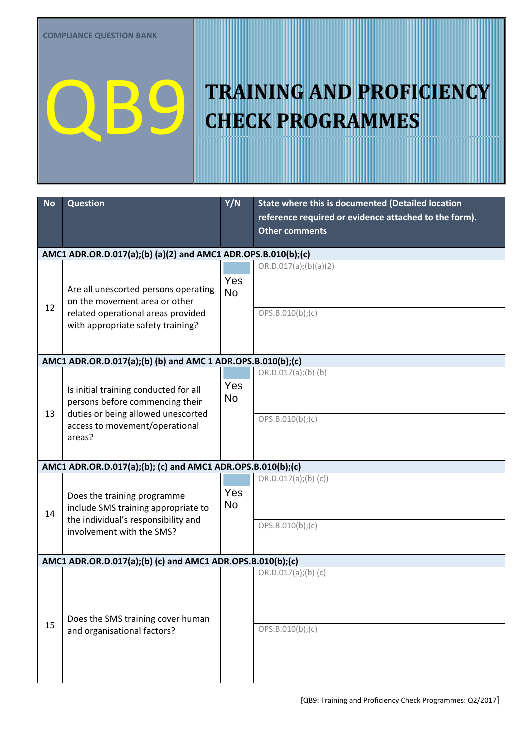| <b>No</b> | <b>Question</b>                                                          | Y/N              | State where this is documented (Detailed location     |
|-----------|--------------------------------------------------------------------------|------------------|-------------------------------------------------------|
|           |                                                                          |                  | reference required or evidence attached to the form). |
|           |                                                                          |                  | <b>Other comments</b>                                 |
|           | AMC1 ADR.OR.D.017(a);(b) (a)(2) and AMC1 ADR.OPS.B.010(b);(c)            |                  |                                                       |
|           |                                                                          |                  | OR.D.017(a); (b)(a)(2)                                |
|           |                                                                          | Yes              |                                                       |
|           | Are all unescorted persons operating<br>on the movement area or other    | <b>No</b>        |                                                       |
| 12        | related operational areas provided                                       |                  | OPS.B.010(b);(c)                                      |
|           | with appropriate safety training?                                        |                  |                                                       |
|           |                                                                          |                  |                                                       |
|           | AMC1 ADR.OR.D.017(a);(b) (b) and AMC 1 ADR.OPS.B.010(b);(c)              |                  |                                                       |
|           |                                                                          |                  | $OR.D.017(a);(b)$ (b)                                 |
|           |                                                                          | Yes              |                                                       |
|           | Is initial training conducted for all<br>persons before commencing their | <b>No</b>        |                                                       |
| 13        | duties or being allowed unescorted                                       |                  |                                                       |
|           | access to movement/operational                                           |                  | OPS.B.010(b); (c)                                     |
|           | areas?                                                                   |                  |                                                       |
|           |                                                                          |                  |                                                       |
|           | AMC1 ADR.OR.D.017(a);(b); (c) and AMC1 ADR.OPS.B.010(b);(c)              |                  |                                                       |
|           |                                                                          |                  | OR.D.017(a); (b) (c))                                 |
|           | Does the training programme                                              | Yes<br><b>No</b> |                                                       |
| 14        | include SMS training appropriate to                                      |                  |                                                       |
|           | the individual's responsibility and<br>involvement with the SMS?         |                  | OPS.B.010(b);(c)                                      |
|           |                                                                          |                  |                                                       |
|           | AMC1 ADR.OR.D.017(a);(b) (c) and AMC1 ADR.OPS.B.010(b);(c)               |                  |                                                       |
|           |                                                                          |                  | OR.D.017(a); (b) (c)                                  |
|           |                                                                          | Yes              |                                                       |
|           |                                                                          | <b>No</b>        |                                                       |
|           | Does the SMS training cover human                                        |                  |                                                       |
| 15        | and organisational factors?                                              |                  | OPS.B.010(b); (c)                                     |
|           |                                                                          |                  |                                                       |
|           |                                                                          |                  |                                                       |
|           |                                                                          |                  |                                                       |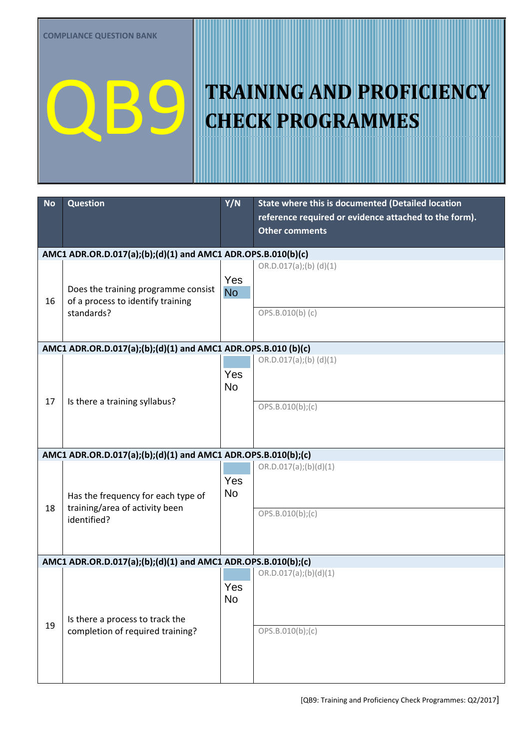| <b>No</b>                                                     | <b>Question</b>                                               | Y/N              | State where this is documented (Detailed location     |  |  |
|---------------------------------------------------------------|---------------------------------------------------------------|------------------|-------------------------------------------------------|--|--|
|                                                               |                                                               |                  | reference required or evidence attached to the form). |  |  |
|                                                               |                                                               |                  | <b>Other comments</b>                                 |  |  |
|                                                               | AMC1 ADR.OR.D.017(a);(b);(d)(1) and AMC1 ADR.OPS.B.010(b)(c)  |                  |                                                       |  |  |
|                                                               |                                                               |                  | OR.D.017(a);(b) (d)(1)                                |  |  |
|                                                               |                                                               | Yes              |                                                       |  |  |
|                                                               | Does the training programme consist                           | <b>No</b>        |                                                       |  |  |
| 16                                                            | of a process to identify training<br>standards?               |                  | OPS.B.010(b) (c)                                      |  |  |
|                                                               |                                                               |                  |                                                       |  |  |
|                                                               |                                                               |                  |                                                       |  |  |
|                                                               | AMC1 ADR.OR.D.017(a);(b);(d)(1) and AMC1 ADR.OPS.B.010 (b)(c) |                  |                                                       |  |  |
|                                                               |                                                               |                  | OR.D.017(a);(b) (d)(1)                                |  |  |
|                                                               |                                                               | Yes<br><b>No</b> |                                                       |  |  |
| 17                                                            | Is there a training syllabus?                                 |                  |                                                       |  |  |
|                                                               |                                                               |                  | OPS.B.010(b);(c)                                      |  |  |
|                                                               |                                                               |                  |                                                       |  |  |
|                                                               |                                                               |                  |                                                       |  |  |
| AMC1 ADR.OR.D.017(a);(b);(d)(1) and AMC1 ADR.OPS.B.010(b);(c) |                                                               |                  |                                                       |  |  |
|                                                               |                                                               |                  | OR.D.017(a);(b)(d)(1)                                 |  |  |
|                                                               |                                                               | Yes              |                                                       |  |  |
|                                                               | Has the frequency for each type of                            | <b>No</b>        |                                                       |  |  |
| 18                                                            | training/area of activity been<br>identified?                 |                  | OPS.B.010(b);(c)                                      |  |  |
|                                                               |                                                               |                  |                                                       |  |  |
|                                                               |                                                               |                  |                                                       |  |  |
|                                                               | AMC1 ADR.OR.D.017(a);(b);(d)(1) and AMC1 ADR.OPS.B.010(b);(c) |                  |                                                       |  |  |
|                                                               |                                                               |                  | OR.D.017(a);(b)(d)(1)                                 |  |  |
|                                                               |                                                               | Yes              |                                                       |  |  |
|                                                               |                                                               | <b>No</b>        |                                                       |  |  |
|                                                               | Is there a process to track the                               |                  |                                                       |  |  |
| 19                                                            | completion of required training?                              |                  | OPS.B.010(b); (c)                                     |  |  |
|                                                               |                                                               |                  |                                                       |  |  |
|                                                               |                                                               |                  |                                                       |  |  |
|                                                               |                                                               |                  |                                                       |  |  |
|                                                               |                                                               |                  |                                                       |  |  |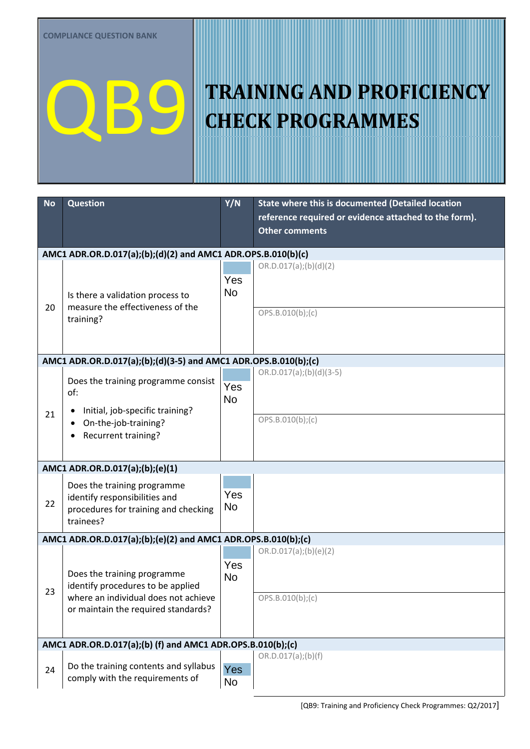| <b>No</b> | <b>Question</b>                                                          | Y/N        | State where this is documented (Detailed location     |  |  |  |
|-----------|--------------------------------------------------------------------------|------------|-------------------------------------------------------|--|--|--|
|           |                                                                          |            | reference required or evidence attached to the form). |  |  |  |
|           |                                                                          |            | <b>Other comments</b>                                 |  |  |  |
|           | AMC1 ADR.OR.D.017(a);(b);(d)(2) and AMC1 ADR.OPS.B.010(b)(c)             |            |                                                       |  |  |  |
|           |                                                                          |            | OR.D.017(a);(b)(d)(2)                                 |  |  |  |
|           |                                                                          | Yes        |                                                       |  |  |  |
|           | Is there a validation process to                                         | <b>No</b>  |                                                       |  |  |  |
| 20        | measure the effectiveness of the                                         |            |                                                       |  |  |  |
|           | training?                                                                |            | OPS.B.010(b); (c)                                     |  |  |  |
|           |                                                                          |            |                                                       |  |  |  |
|           |                                                                          |            |                                                       |  |  |  |
|           | AMC1 ADR.OR.D.017(a);(b);(d)(3-5) and AMC1 ADR.OPS.B.010(b);(c)          |            |                                                       |  |  |  |
|           | Does the training programme consist                                      |            | $OR.D.017(a);(b)(d)(3-5)$                             |  |  |  |
|           | of:                                                                      | Yes<br>No  |                                                       |  |  |  |
| 21        | Initial, job-specific training?<br>$\bullet$                             |            |                                                       |  |  |  |
|           | On-the-job-training?                                                     |            | OPS.B.010(b);(c)                                      |  |  |  |
|           | Recurrent training?                                                      |            |                                                       |  |  |  |
|           |                                                                          |            |                                                       |  |  |  |
|           | AMC1 ADR.OR.D.017(a);(b);(e)(1)                                          |            |                                                       |  |  |  |
|           | Does the training programme                                              |            |                                                       |  |  |  |
|           | identify responsibilities and                                            | Yes        |                                                       |  |  |  |
| 22        | procedures for training and checking                                     | <b>No</b>  |                                                       |  |  |  |
|           | trainees?                                                                |            |                                                       |  |  |  |
|           | AMC1 ADR.OR.D.017(a);(b);(e)(2) and AMC1 ADR.OPS.B.010(b);(c)            |            |                                                       |  |  |  |
|           |                                                                          |            | OR.D.017(a);(b)(e)(2)                                 |  |  |  |
|           | Does the training programme                                              | Yes        |                                                       |  |  |  |
|           | identify procedures to be applied                                        | No         |                                                       |  |  |  |
| 23        | where an individual does not achieve                                     |            | OPS.B.010(b); (c)                                     |  |  |  |
|           | or maintain the required standards?                                      |            |                                                       |  |  |  |
|           |                                                                          |            |                                                       |  |  |  |
|           | AMC1 ADR.OR.D.017(a);(b) (f) and AMC1 ADR.OPS.B.010(b);(c)               |            |                                                       |  |  |  |
|           |                                                                          |            | OR.D.017(a);(b)(f)                                    |  |  |  |
| 24        | Do the training contents and syllabus<br>comply with the requirements of | <b>Yes</b> |                                                       |  |  |  |
|           |                                                                          | No         |                                                       |  |  |  |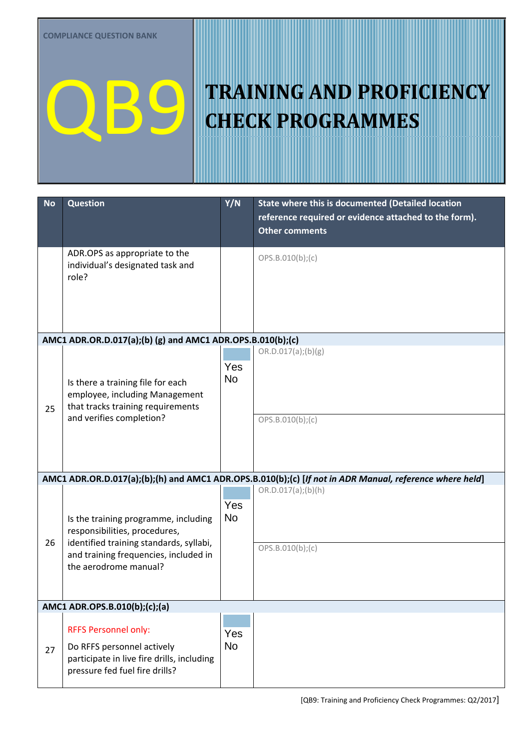| <b>No</b> | <b>Question</b>                                                                                                                                           | Y/N              | <b>State where this is documented (Detailed location</b><br>reference required or evidence attached to the form).<br>Other comments |
|-----------|-----------------------------------------------------------------------------------------------------------------------------------------------------------|------------------|-------------------------------------------------------------------------------------------------------------------------------------|
|           | ADR.OPS as appropriate to the<br>individual's designated task and<br>role?                                                                                |                  | OPS.B.010(b); (c)                                                                                                                   |
|           | AMC1 ADR.OR.D.017(a);(b) (g) and AMC1 ADR.OPS.B.010(b);(c)                                                                                                |                  |                                                                                                                                     |
| 25        | Is there a training file for each<br>employee, including Management<br>that tracks training requirements                                                  | Yes<br><b>No</b> | OR.D.017(a);(b)(g)                                                                                                                  |
|           | and verifies completion?                                                                                                                                  |                  | OPS.B.010(b); (c)                                                                                                                   |
|           |                                                                                                                                                           |                  | AMC1 ADR.OR.D.017(a);(b);(h) and AMC1 ADR.OPS.B.010(b);(c) [If not in ADR Manual, reference where held]<br>OR.D.017(a);(b)(h)       |
| 26        | Is the training programme, including<br>responsibilities, procedures,<br>identified training standards, syllabi,<br>and training frequencies, included in | Yes<br><b>No</b> | OPS.B.010(b);(c)                                                                                                                    |
|           | the aerodrome manual?                                                                                                                                     |                  |                                                                                                                                     |
|           | AMC1 ADR.OPS.B.010(b);(c);(a)                                                                                                                             |                  |                                                                                                                                     |
| 27        | <b>RFFS Personnel only:</b><br>Do RFFS personnel actively<br>participate in live fire drills, including<br>pressure fed fuel fire drills?                 | Yes<br>No        |                                                                                                                                     |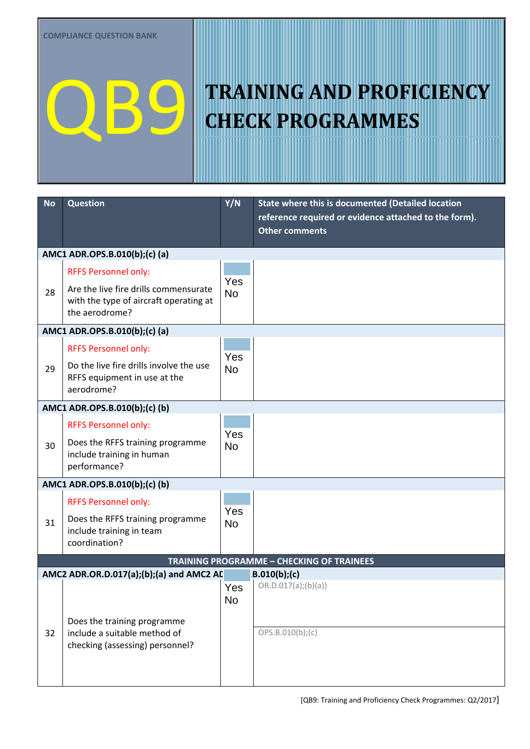| <b>No</b> | <b>Question</b>                                                                                   | Y/N              | State where this is documented (Detailed location<br>reference required or evidence attached to the form).<br><b>Other comments</b> |  |  |
|-----------|---------------------------------------------------------------------------------------------------|------------------|-------------------------------------------------------------------------------------------------------------------------------------|--|--|
|           | AMC1 ADR.OPS.B.010(b);(c) (a)                                                                     |                  |                                                                                                                                     |  |  |
|           | <b>RFFS Personnel only:</b>                                                                       |                  |                                                                                                                                     |  |  |
| 28        | Are the live fire drills commensurate<br>with the type of aircraft operating at<br>the aerodrome? | Yes<br><b>No</b> |                                                                                                                                     |  |  |
|           | AMC1 ADR.OPS.B.010(b);(c) (a)                                                                     |                  |                                                                                                                                     |  |  |
|           | <b>RFFS Personnel only:</b>                                                                       |                  |                                                                                                                                     |  |  |
| 29        | Do the live fire drills involve the use<br>RFFS equipment in use at the<br>aerodrome?             | Yes<br><b>No</b> |                                                                                                                                     |  |  |
|           | AMC1 ADR.OPS.B.010(b);(c) (b)                                                                     |                  |                                                                                                                                     |  |  |
|           | <b>RFFS Personnel only:</b>                                                                       |                  |                                                                                                                                     |  |  |
| 30        | Does the RFFS training programme<br>include training in human<br>performance?                     | Yes<br><b>No</b> |                                                                                                                                     |  |  |
|           | AMC1 ADR.OPS.B.010(b);(c) (b)                                                                     |                  |                                                                                                                                     |  |  |
|           | <b>RFFS Personnel only:</b>                                                                       |                  |                                                                                                                                     |  |  |
| 31        | Does the RFFS training programme<br>include training in team<br>coordination?                     | Yes<br><b>No</b> |                                                                                                                                     |  |  |
|           |                                                                                                   |                  | <b>TRAINING PROGRAMME - CHECKING OF TRAINEES</b>                                                                                    |  |  |
|           | AMC2 ADR.OR.D.017(a);(b);(a) and AMC2 AD                                                          |                  | $B.010(b)$ ;(c)                                                                                                                     |  |  |
|           | Does the training programme                                                                       | Yes<br><b>No</b> | OR.D.017(a);(b)(a))                                                                                                                 |  |  |
| 32        | include a suitable method of<br>checking (assessing) personnel?                                   |                  | OPS.B.010(b); (c)                                                                                                                   |  |  |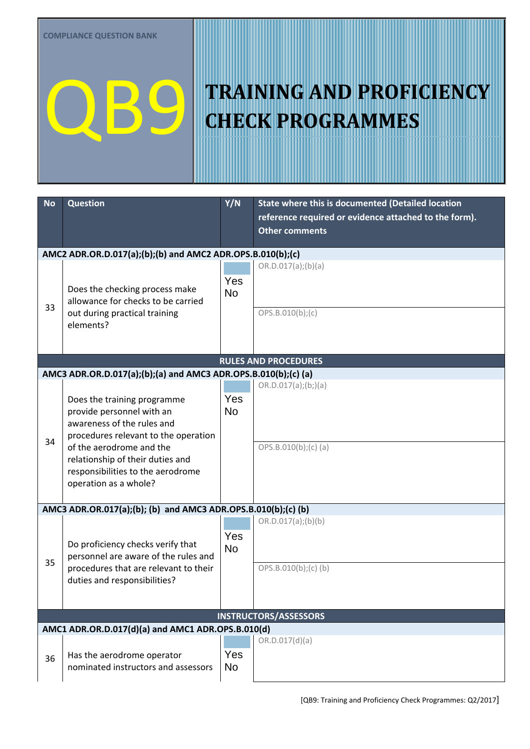| <b>No</b>                                                     | <b>Question</b>                                                                                                                | Y/N                     | State where this is documented (Detailed location<br>reference required or evidence attached to the form).<br><b>Other comments</b> |  |
|---------------------------------------------------------------|--------------------------------------------------------------------------------------------------------------------------------|-------------------------|-------------------------------------------------------------------------------------------------------------------------------------|--|
|                                                               |                                                                                                                                |                         |                                                                                                                                     |  |
|                                                               | AMC2 ADR.OR.D.017(a);(b);(b) and AMC2 ADR.OPS.B.010(b);(c)                                                                     |                         |                                                                                                                                     |  |
| 33                                                            | Does the checking process make<br>allowance for checks to be carried<br>out during practical training<br>elements?             | Yes<br><b>No</b>        | OR.D.017(a);(b)(a)<br>OPS.B.010(b); (c)                                                                                             |  |
|                                                               |                                                                                                                                |                         |                                                                                                                                     |  |
|                                                               |                                                                                                                                |                         | <b>RULES AND PROCEDURES</b>                                                                                                         |  |
|                                                               | AMC3 ADR.OR.D.017(a);(b);(a) and AMC3 ADR.OPS.B.010(b);(c) (a)                                                                 |                         |                                                                                                                                     |  |
| 34                                                            | Does the training programme<br>provide personnel with an<br>awareness of the rules and<br>procedures relevant to the operation | Yes<br><b>No</b>        | OR.D.017(a); (b;)(a)                                                                                                                |  |
|                                                               | of the aerodrome and the<br>relationship of their duties and<br>responsibilities to the aerodrome<br>operation as a whole?     |                         | OPS.B.010(b); (c) (a)                                                                                                               |  |
| AMC3 ADR.OR.017(a);(b); (b) and AMC3 ADR.OPS.B.010(b);(c) (b) |                                                                                                                                |                         |                                                                                                                                     |  |
| 35                                                            | Do proficiency checks verify that<br>personnel are aware of the rules and                                                      | <b>Yes</b><br><b>No</b> | OR.D.017(a);(b)(b)                                                                                                                  |  |
|                                                               | procedures that are relevant to their<br>duties and responsibilities?                                                          |                         | OPS.B.010(b);(c)(b)                                                                                                                 |  |
| <b>INSTRUCTORS/ASSESSORS</b>                                  |                                                                                                                                |                         |                                                                                                                                     |  |
|                                                               | AMC1 ADR.OR.D.017(d)(a) and AMC1 ADR.OPS.B.010(d)                                                                              |                         |                                                                                                                                     |  |
| 36                                                            | Has the aerodrome operator<br>nominated instructors and assessors                                                              | Yes<br><b>No</b>        | OR.D.017(d)(a)                                                                                                                      |  |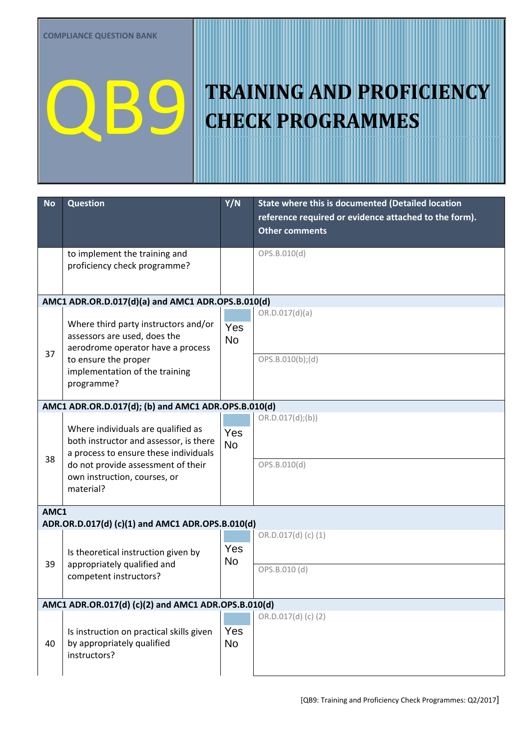| <b>No</b>                                           | <b>Question</b>                                                                                                       | Y/N              | State where this is documented (Detailed location<br>reference required or evidence attached to the form).<br><b>Other comments</b> |  |
|-----------------------------------------------------|-----------------------------------------------------------------------------------------------------------------------|------------------|-------------------------------------------------------------------------------------------------------------------------------------|--|
|                                                     | to implement the training and<br>proficiency check programme?                                                         |                  | OPS.B.010(d)                                                                                                                        |  |
|                                                     | AMC1 ADR.OR.D.017(d)(a) and AMC1 ADR.OPS.B.010(d)                                                                     |                  |                                                                                                                                     |  |
|                                                     | Where third party instructors and/or<br>assessors are used, does the<br>aerodrome operator have a process             | Yes<br><b>No</b> | OR.D.017(d)(a)                                                                                                                      |  |
| 37                                                  | to ensure the proper<br>implementation of the training<br>programme?                                                  |                  | OPS.B.010(b);(d)                                                                                                                    |  |
| AMC1 ADR.OR.D.017(d); (b) and AMC1 ADR.OPS.B.010(d) |                                                                                                                       |                  |                                                                                                                                     |  |
|                                                     | Where individuals are qualified as<br>both instructor and assessor, is there<br>a process to ensure these individuals | Yes<br><b>No</b> | OR.D.017(d);(b))                                                                                                                    |  |
| 38                                                  | do not provide assessment of their<br>own instruction, courses, or<br>material?                                       |                  | OPS.B.010(d)                                                                                                                        |  |
| AMC1                                                |                                                                                                                       |                  |                                                                                                                                     |  |
|                                                     | ADR.OR.D.017(d) (c)(1) and AMC1 ADR.OPS.B.010(d)                                                                      |                  | OR.D.017(d) (c) (1)                                                                                                                 |  |
| 39                                                  | Is theoretical instruction given by<br>appropriately qualified and<br>competent instructors?                          | Yes<br>No        |                                                                                                                                     |  |
|                                                     |                                                                                                                       |                  | OPS.B.010 (d)                                                                                                                       |  |
|                                                     | AMC1 ADR.OR.017(d) (c)(2) and AMC1 ADR.OPS.B.010(d)                                                                   |                  |                                                                                                                                     |  |
| 40                                                  | Is instruction on practical skills given<br>by appropriately qualified<br>instructors?                                | Yes<br><b>No</b> | OR.D.017(d) (c) (2)                                                                                                                 |  |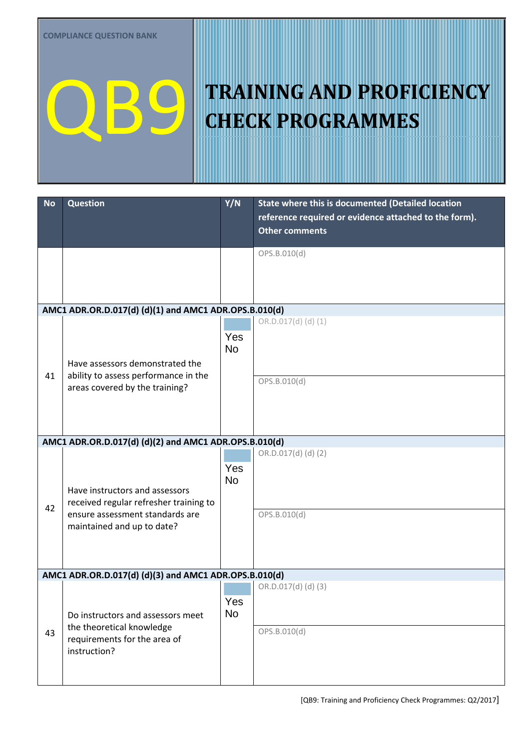| <b>No</b> | <b>Question</b>                                                           | Y/N              | State where this is documented (Detailed location<br>reference required or evidence attached to the form).<br><b>Other comments</b> |  |  |  |
|-----------|---------------------------------------------------------------------------|------------------|-------------------------------------------------------------------------------------------------------------------------------------|--|--|--|
|           |                                                                           |                  | OPS.B.010(d)                                                                                                                        |  |  |  |
|           | AMC1 ADR.OR.D.017(d) (d)(1) and AMC1 ADR.OPS.B.010(d)                     |                  |                                                                                                                                     |  |  |  |
|           | Have assessors demonstrated the                                           | Yes<br><b>No</b> | OR.D.017(d)(d)(1)                                                                                                                   |  |  |  |
| 41        | ability to assess performance in the<br>areas covered by the training?    |                  | OPS.B.010(d)                                                                                                                        |  |  |  |
|           | AMC1 ADR.OR.D.017(d) (d)(2) and AMC1 ADR.OPS.B.010(d)                     |                  |                                                                                                                                     |  |  |  |
|           | Have instructors and assessors<br>received regular refresher training to  | Yes<br><b>No</b> | OR.D.017(d) (d) (2)                                                                                                                 |  |  |  |
| 42        | ensure assessment standards are<br>maintained and up to date?             |                  | OPS.B.010(d)                                                                                                                        |  |  |  |
|           | AMC1 ADR.OR.D.017(d) (d)(3) and AMC1 ADR.OPS.B.010(d)                     |                  |                                                                                                                                     |  |  |  |
|           | Do instructors and assessors meet                                         | Yes<br><b>No</b> | OR.D.017(d) (d) (3)                                                                                                                 |  |  |  |
| 43        | the theoretical knowledge<br>requirements for the area of<br>instruction? |                  | OPS.B.010(d)                                                                                                                        |  |  |  |